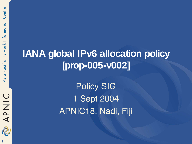**1**

# **IANA global IPv6 allocation policy [prop-005-v002]**

Policy SIG 1 Sept 2004 APNIC18, Nadi, Fiji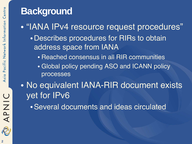## **Background**

• "IANA IPv4 resource request procedures"

- •Describes procedures for RIRs to obtain address space from IANA
	- Reached consensus in all RIR communities
	- Global policy pending ASO and ICANN policy processes
- No equivalent IANA-RIR document exists yet for IPv6
	- •Several documents and ideas circulated

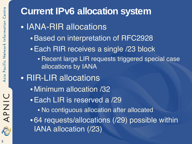**Current IPv6 allocation system** • IANA-RIR allocations •Based on interpretation of RFC2928 •Each RIR receives a single /23 block • Recent large LIR requests triggered special case allocations by IANA • RIR-LIR allocations • Minimum allocation /32 •Each LIR is reserved a /29 • No contiguous allocation after allocated • 64 requests/allocations (/29) possible within IANA allocation (/23)

APNIC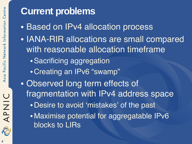## **Current problems**

- Based on IPv4 allocation process
- IANA-RIR allocations are small compared with reasonable allocation timeframe
	- •Sacrificing aggregation
	- •Creating an IPv6 "swamp"
- Observed long term effects of fragmentation with IPv4 address space
	- •Desire to avoid 'mistakes' of the past
	- Maximise potential for aggregatable IPv6 blocks to LIRs

APNIC

2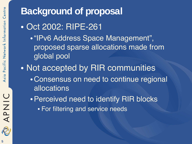# **Background of proposal** • Oct 2002: RIPE-261 •"IPv6 Address Space Management",

- proposed sparse allocations made from global pool
- Not accepted by RIR communities
	- •Consensus on need to continue regional allocations
	- •Perceived need to identify RIR blocks • For filtering and service needs

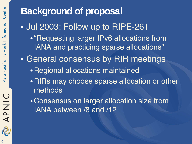**Background of proposal** • Jul 2003: Follow up to RIPE-261 •"Requesting larger IPv6 allocations from IANA and practicing sparse allocations" • General consensus by RIR meetings •Regional allocations maintained •RIRs may choose sparse allocation or other methods •Consensus on larger allocation size from IANA between /8 and /12



APNIC

2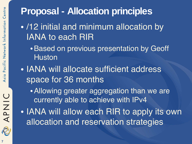# **Proposal - Allocation principles**

- /12 initial and minimum allocation by IANA to each RIR
	- •Based on previous presentation by Geoff **Huston**
- IANA will allocate sufficient address space for 36 months
	- •Allowing greater aggregation than we are currently able to achieve with IPv4
- IANA will allow each RIR to apply its own allocation and reservation strategies

APNIC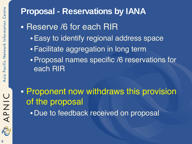### **Proposal - Reservations by IANA**

- Reserve /6 for each RIR
	- •Easy to identify regional address space
	- •Facilitate aggregation in long term
	- •Proposal names specific /6 reservations for each RIR
- Proponent now withdraws this provision of the proposal
	- •Due to feedback received on proposal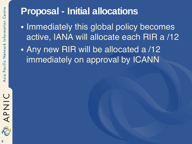# **Proposal - Initial allocations**

- Immediately this global policy becomes active, IANA will allocate each RIR a /12
- Any new RIR will be allocated a /12 immediately on approval by ICANN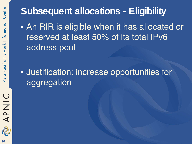# **Subsequent allocations - Eligibility**

• An RIR is eligible when it has allocated or reserved at least 50% of its total IPv6 address pool

### • Justification: increase opportunities for aggregation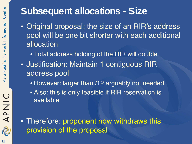## **Subsequent allocations - Size**

- Original proposal: the size of an RIR's address pool will be one bit shorter with each additional allocation
	- Total address holding of the RIR will double
- Justification: Maintain 1 contiguous RIR address pool
	- However: larger than /12 arguably not needed
	- Also: this is only feasible if RIR reservation is available

• Therefore: proponent now withdraws this provision of the proposal

R

APNIC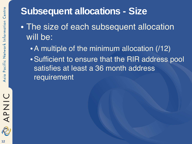# **Subsequent allocations - Size**

- The size of each subsequent allocation will be:
	- A multiple of the minimum allocation (/12)
	- •Sufficient to ensure that the RIR address pool satisfies at least a 36 month address requirement

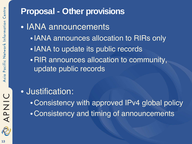#### **Proposal - Other provisions**

- IANA announcements
	- •IANA announces allocation to RIRs only
	- IANA to update its public records
	- •RIR announces allocation to community, update public records

#### • Justification:

- •Consistency with approved IPv4 global policy
- •Consistency and timing of announcements

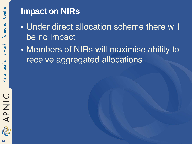#### **Impact on NIRs**

- Under direct allocation scheme there will be no impact
- Members of NIRs will maximise ability to receive aggregated allocations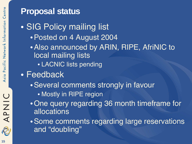#### **Proposal status**

- SIG Policy mailing list •Posted on 4 August 2004
	- •Also announced by ARIN, RIPE, AfriNIC to local mailing lists
		- LACNIC lists pending
- Feedback
	- •Several comments strongly in favour
		- Mostly in RIPE region
	- •One query regarding 36 month timeframe for allocations
	- •Some comments regarding large reservations and "doubling"

R

APNIC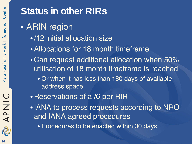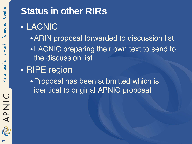

2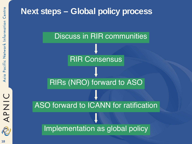

#### **Next steps – Global policy process**

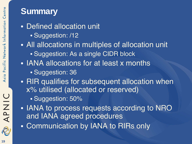#### **Summary**

- Defined allocation unit
	- Suggestion: /12
- All allocations in multiples of allocation unit
	- Suggestion: As a single CIDR block
- IANA allocations for at least x months
	- Suggestion: 36
- RIR qualifies for subsequent allocation when x% utilised (allocated or reserved)
	- Suggestion: 50%
- IANA to process requests according to NRO and IANA agreed procedures
- Communication by IANA to RIRs only

APNIC